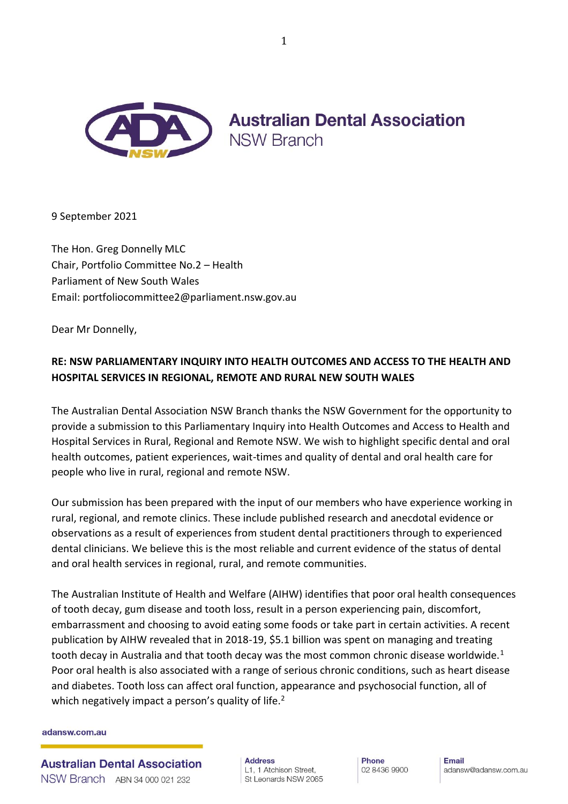

**Australian Dental Association NSW Branch** 

9 September 2021

The Hon. Greg Donnelly MLC Chair, Portfolio Committee No.2 – Health Parliament of New South Wales Email: portfoliocommittee2@parliament.nsw.gov.au

Dear Mr Donnelly,

# **RE: NSW PARLIAMENTARY INQUIRY INTO HEALTH OUTCOMES AND ACCESS TO THE HEALTH AND HOSPITAL SERVICES IN REGIONAL, REMOTE AND RURAL NEW SOUTH WALES**

The Australian Dental Association NSW Branch thanks the NSW Government for the opportunity to provide a submission to this Parliamentary Inquiry into Health Outcomes and Access to Health and Hospital Services in Rural, Regional and Remote NSW. We wish to highlight specific dental and oral health outcomes, patient experiences, wait-times and quality of dental and oral health care for people who live in rural, regional and remote NSW.

Our submission has been prepared with the input of our members who have experience working in rural, regional, and remote clinics. These include published research and anecdotal evidence or observations as a result of experiences from student dental practitioners through to experienced dental clinicians. We believe this is the most reliable and current evidence of the status of dental and oral health services in regional, rural, and remote communities.

The Australian Institute of Health and Welfare (AIHW) identifies that poor oral health consequences of tooth decay, gum disease and tooth loss, result in a person experiencing pain, discomfort, embarrassment and choosing to avoid eating some foods or take part in certain activities. A recent publication by AIHW revealed that in 2018-19, \$5.1 billion was spent on managing and treating tooth decay in Australia and that tooth decay was the most common chronic disease worldwide.<sup>1</sup> Poor oral health is also associated with a range of serious chronic conditions, such as heart disease and diabetes. Tooth loss can affect oral function, appearance and psychosocial function, all of which negatively impact a person's quality of life.<sup>2</sup>

#### adansw.com.au

**Australian Dental Association** NSW Branch ABN 34 000 021 232

**Address** L1. 1 Atchison Street. St Leonards NSW 2065 **Phone** 02 8436 9900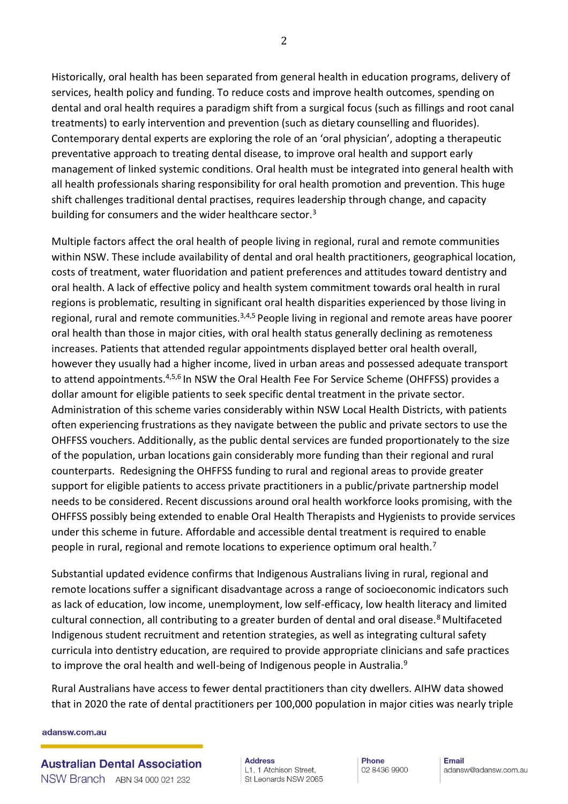Historically, oral health has been separated from general health in education programs, delivery of services, health policy and funding. To reduce costs and improve health outcomes, spending on dental and oral health requires a paradigm shift from a surgical focus (such as fillings and root canal treatments) to early intervention and prevention (such as dietary counselling and fluorides). Contemporary dental experts are exploring the role of an 'oral physician', adopting a therapeutic preventative approach to treating dental disease, to improve oral health and support early

management of linked systemic conditions. Oral health must be integrated into general health with all health professionals sharing responsibility for oral health promotion and prevention. This huge shift challenges traditional dental practises, requires leadership through change, and capacity building for consumers and the wider healthcare sector.<sup>3</sup>

Multiple factors affect the oral health of people living in regional, rural and remote communities within NSW. These include availability of dental and oral health practitioners, geographical location, costs of treatment, water fluoridation and patient preferences and attitudes toward dentistry and oral health. A lack of effective policy and health system commitment towards oral health in rural regions is problematic, resulting in significant oral health disparities experienced by those living in regional, rural and remote communities.<sup>3,4,5</sup> People living in regional and remote areas have poorer oral health than those in major cities, with oral health status generally declining as remoteness increases. Patients that attended regular appointments displayed better oral health overall, however they usually had a higher income, lived in urban areas and possessed adequate transport to attend appointments.<sup>4,5,6</sup> In NSW the Oral Health Fee For Service Scheme (OHFFSS) provides a dollar amount for eligible patients to seek specific dental treatment in the private sector. Administration of this scheme varies considerably within NSW Local Health Districts, with patients often experiencing frustrations as they navigate between the public and private sectors to use the OHFFSS vouchers. Additionally, as the public dental services are funded proportionately to the size of the population, urban locations gain considerably more funding than their regional and rural counterparts. Redesigning the OHFFSS funding to rural and regional areas to provide greater support for eligible patients to access private practitioners in a public/private partnership model needs to be considered. Recent discussions around oral health workforce looks promising, with the OHFFSS possibly being extended to enable Oral Health Therapists and Hygienists to provide services under this scheme in future. Affordable and accessible dental treatment is required to enable people in rural, regional and remote locations to experience optimum oral health.<sup>7</sup>

Substantial updated evidence confirms that Indigenous Australians living in rural, regional and remote locations suffer a significant disadvantage across a range of socioeconomic indicators such as lack of education, low income, unemployment, low self-efficacy, low health literacy and limited cultural connection, all contributing to a greater burden of dental and oral disease.<sup>8</sup> Multifaceted Indigenous student recruitment and retention strategies, as well as integrating cultural safety curricula into dentistry education, are required to provide appropriate clinicians and safe practices to improve the oral health and well-being of Indigenous people in Australia.<sup>9</sup>

Rural Australians have access to fewer dental practitioners than city dwellers. AIHW data showed that in 2020 the rate of dental practitioners per 100,000 population in major cities was nearly triple

#### adansw.com.au

**Australian Dental Association** NSW Branch ABN 34 000 021 232

**Address** L1, 1 Atchison Street, St Leonards NSW 2065 **Phone** 02 8436 9900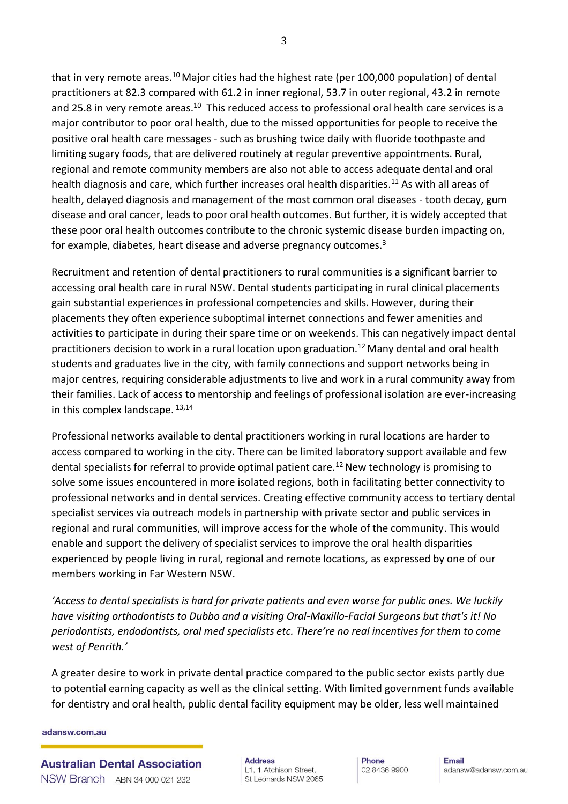that in very remote areas.<sup>10</sup> Major cities had the highest rate (per 100,000 population) of dental practitioners at 82.3 compared with 61.2 in inner regional, 53.7 in outer regional, 43.2 in remote and 25.8 in very remote areas. $^{10}$  This reduced access to professional oral health care services is a major contributor to poor oral health, due to the missed opportunities for people to receive the positive oral health care messages - such as brushing twice daily with fluoride toothpaste and limiting sugary foods, that are delivered routinely at regular preventive appointments. Rural, regional and remote community members are also not able to access adequate dental and oral health diagnosis and care, which further increases oral health disparities.<sup>11</sup> As with all areas of health, delayed diagnosis and management of the most common oral diseases - tooth decay, gum disease and oral cancer, leads to poor oral health outcomes. But further, it is widely accepted that these poor oral health outcomes contribute to the chronic systemic disease burden impacting on, for example, diabetes, heart disease and adverse pregnancy outcomes.<sup>3</sup>

Recruitment and retention of dental practitioners to rural communities is a significant barrier to accessing oral health care in rural NSW. Dental students participating in rural clinical placements gain substantial experiences in professional competencies and skills. However, during their placements they often experience suboptimal internet connections and fewer amenities and activities to participate in during their spare time or on weekends. This can negatively impact dental practitioners decision to work in a rural location upon graduation.<sup>12</sup> Many dental and oral health students and graduates live in the city, with family connections and support networks being in major centres, requiring considerable adjustments to live and work in a rural community away from their families. Lack of access to mentorship and feelings of professional isolation are ever-increasing in this complex landscape. 13,14

Professional networks available to dental practitioners working in rural locations are harder to access compared to working in the city. There can be limited laboratory support available and few dental specialists for referral to provide optimal patient care.<sup>12</sup> New technology is promising to solve some issues encountered in more isolated regions, both in facilitating better connectivity to professional networks and in dental services. Creating effective community access to tertiary dental specialist services via outreach models in partnership with private sector and public services in regional and rural communities, will improve access for the whole of the community. This would enable and support the delivery of specialist services to improve the oral health disparities experienced by people living in rural, regional and remote locations, as expressed by one of our members working in Far Western NSW.

*'Access to dental specialists is hard for private patients and even worse for public ones. We luckily have visiting orthodontists to Dubbo and a visiting Oral-Maxillo-Facial Surgeons but that's it! No periodontists, endodontists, oral med specialists etc. There're no real incentives for them to come west of Penrith.'*

A greater desire to work in private dental practice compared to the public sector exists partly due to potential earning capacity as well as the clinical setting. With limited government funds available for dentistry and oral health, public dental facility equipment may be older, less well maintained

#### adansw.com.au

**Address** L1. 1 Atchison Street. St Leonards NSW 2065

**Phone** 02 8436 9900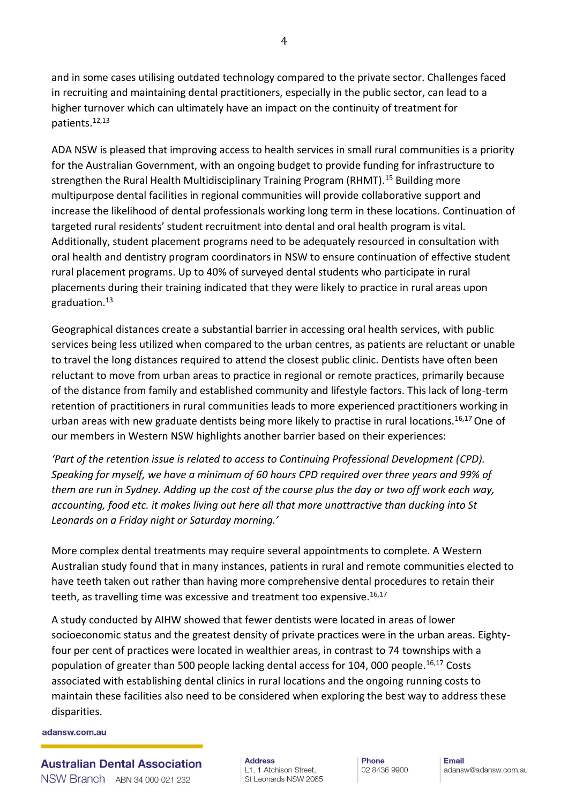and in some cases utilising outdated technology compared to the private sector. Challenges faced in recruiting and maintaining dental practitioners, especially in the public sector, can lead to a higher turnover which can ultimately have an impact on the continuity of treatment for patients.12,13

ADA NSW is pleased that improving access to health services in small rural communities is a priority for the Australian Government, with an ongoing budget to provide funding for infrastructure to strengthen the Rural Health Multidisciplinary Training Program (RHMT).<sup>15</sup> Building more multipurpose dental facilities in regional communities will provide collaborative support and increase the likelihood of dental professionals working long term in these locations. Continuation of targeted rural residents' student recruitment into dental and oral health program is vital. Additionally, student placement programs need to be adequately resourced in consultation with oral health and dentistry program coordinators in NSW to ensure continuation of effective student rural placement programs. Up to 40% of surveyed dental students who participate in rural placements during their training indicated that they were likely to practice in rural areas upon graduation.<sup>13</sup>

Geographical distances create a substantial barrier in accessing oral health services, with public services being less utilized when compared to the urban centres, as patients are reluctant or unable to travel the long distances required to attend the closest public clinic. Dentists have often been reluctant to move from urban areas to practice in regional or remote practices, primarily because of the distance from family and established community and lifestyle factors. This lack of long-term retention of practitioners in rural communities leads to more experienced practitioners working in urban areas with new graduate dentists being more likely to practise in rural locations.<sup>16,17</sup> One of our members in Western NSW highlights another barrier based on their experiences:

*'Part of the retention issue is related to access to Continuing Professional Development (CPD). Speaking for myself, we have a minimum of 60 hours CPD required over three years and 99% of them are run in Sydney. Adding up the cost of the course plus the day or two off work each way, accounting, food etc. it makes living out here all that more unattractive than ducking into St Leonards on a Friday night or Saturday morning.'*

More complex dental treatments may require several appointments to complete. A Western Australian study found that in many instances, patients in rural and remote communities elected to have teeth taken out rather than having more comprehensive dental procedures to retain their teeth, as travelling time was excessive and treatment too expensive.<sup>16,17</sup>

A study conducted by AIHW showed that fewer dentists were located in areas of lower socioeconomic status and the greatest density of private practices were in the urban areas. Eightyfour per cent of practices were located in wealthier areas, in contrast to 74 townships with a population of greater than 500 people lacking dental access for 104, 000 people.<sup>16,17</sup> Costs associated with establishing dental clinics in rural locations and the ongoing running costs to maintain these facilities also need to be considered when exploring the best way to address these disparities.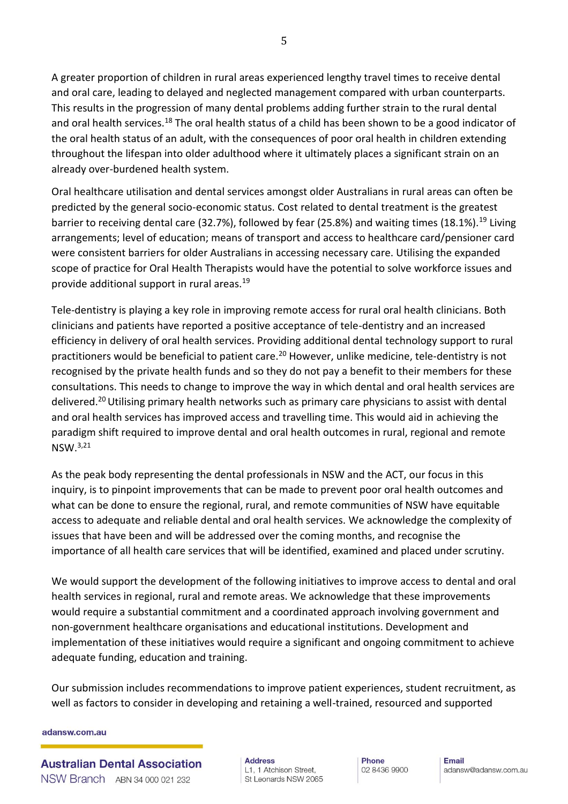A greater proportion of children in rural areas experienced lengthy travel times to receive dental and oral care, leading to delayed and neglected management compared with urban counterparts. This results in the progression of many dental problems adding further strain to the rural dental and oral health services.<sup>18</sup> The oral health status of a child has been shown to be a good indicator of the oral health status of an adult, with the consequences of poor oral health in children extending throughout the lifespan into older adulthood where it ultimately places a significant strain on an already over-burdened health system.

Oral healthcare utilisation and dental services amongst older Australians in rural areas can often be predicted by the general socio-economic status. Cost related to dental treatment is the greatest barrier to receiving dental care (32.7%), followed by fear (25.8%) and waiting times (18.1%).<sup>19</sup> Living arrangements; level of education; means of transport and access to healthcare card/pensioner card were consistent barriers for older Australians in accessing necessary care. Utilising the expanded scope of practice for Oral Health Therapists would have the potential to solve workforce issues and provide additional support in rural areas.<sup>19</sup>

Tele-dentistry is playing a key role in improving remote access for rural oral health clinicians. Both clinicians and patients have reported a positive acceptance of tele-dentistry and an increased efficiency in delivery of oral health services. Providing additional dental technology support to rural practitioners would be beneficial to patient care.<sup>20</sup> However, unlike medicine, tele-dentistry is not recognised by the private health funds and so they do not pay a benefit to their members for these consultations. This needs to change to improve the way in which dental and oral health services are delivered.<sup>20</sup> Utilising primary health networks such as primary care physicians to assist with dental and oral health services has improved access and travelling time. This would aid in achieving the paradigm shift required to improve dental and oral health outcomes in rural, regional and remote NSW.3,21

As the peak body representing the dental professionals in NSW and the ACT, our focus in this inquiry, is to pinpoint improvements that can be made to prevent poor oral health outcomes and what can be done to ensure the regional, rural, and remote communities of NSW have equitable access to adequate and reliable dental and oral health services. We acknowledge the complexity of issues that have been and will be addressed over the coming months, and recognise the importance of all health care services that will be identified, examined and placed under scrutiny.

We would support the development of the following initiatives to improve access to dental and oral health services in regional, rural and remote areas. We acknowledge that these improvements would require a substantial commitment and a coordinated approach involving government and non-government healthcare organisations and educational institutions. Development and implementation of these initiatives would require a significant and ongoing commitment to achieve adequate funding, education and training.

Our submission includes recommendations to improve patient experiences, student recruitment, as well as factors to consider in developing and retaining a well-trained, resourced and supported

#### adansw.com.au

**Australian Dental Association** NSW Branch ABN 34 000 021 232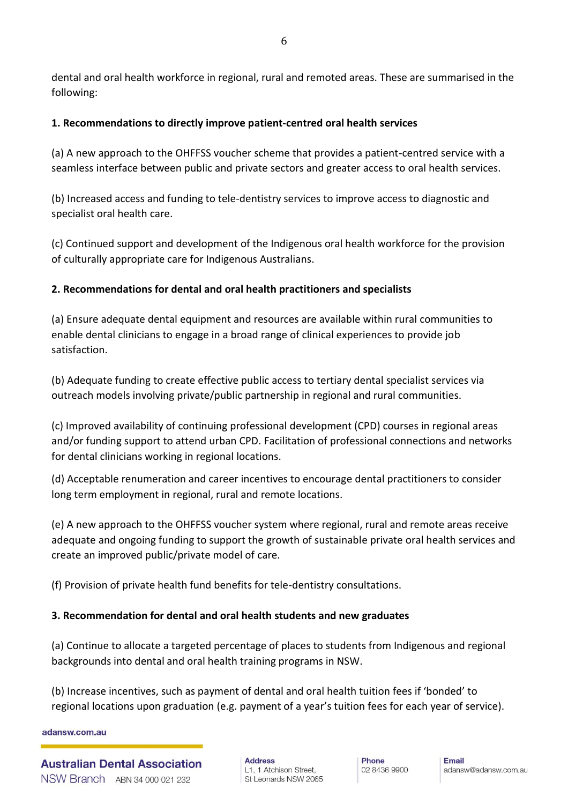dental and oral health workforce in regional, rural and remoted areas. These are summarised in the following:

### **1. Recommendations to directly improve patient-centred oral health services**

(a) A new approach to the OHFFSS voucher scheme that provides a patient-centred service with a seamless interface between public and private sectors and greater access to oral health services.

(b) Increased access and funding to tele-dentistry services to improve access to diagnostic and specialist oral health care.

(c) Continued support and development of the Indigenous oral health workforce for the provision of culturally appropriate care for Indigenous Australians.

## **2. Recommendations for dental and oral health practitioners and specialists**

(a) Ensure adequate dental equipment and resources are available within rural communities to enable dental clinicians to engage in a broad range of clinical experiences to provide job satisfaction.

(b) Adequate funding to create effective public access to tertiary dental specialist services via outreach models involving private/public partnership in regional and rural communities.

(c) Improved availability of continuing professional development (CPD) courses in regional areas and/or funding support to attend urban CPD. Facilitation of professional connections and networks for dental clinicians working in regional locations.

(d) Acceptable renumeration and career incentives to encourage dental practitioners to consider long term employment in regional, rural and remote locations.

(e) A new approach to the OHFFSS voucher system where regional, rural and remote areas receive adequate and ongoing funding to support the growth of sustainable private oral health services and create an improved public/private model of care.

(f) Provision of private health fund benefits for tele-dentistry consultations.

### **3. Recommendation for dental and oral health students and new graduates**

(a) Continue to allocate a targeted percentage of places to students from Indigenous and regional backgrounds into dental and oral health training programs in NSW.

(b) Increase incentives, such as payment of dental and oral health tuition fees if 'bonded' to regional locations upon graduation (e.g. payment of a year's tuition fees for each year of service).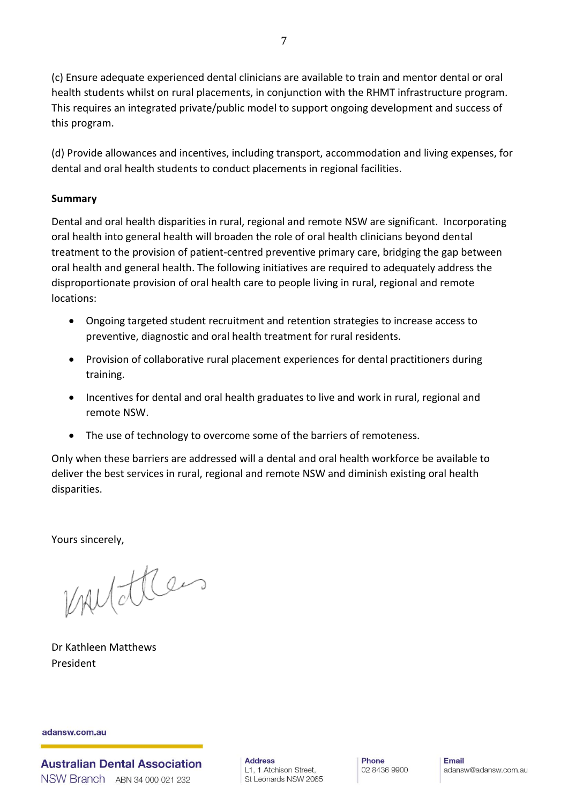(c) Ensure adequate experienced dental clinicians are available to train and mentor dental or oral health students whilst on rural placements, in conjunction with the RHMT infrastructure program. This requires an integrated private/public model to support ongoing development and success of this program.

(d) Provide allowances and incentives, including transport, accommodation and living expenses, for dental and oral health students to conduct placements in regional facilities.

### **Summary**

Dental and oral health disparities in rural, regional and remote NSW are significant. Incorporating oral health into general health will broaden the role of oral health clinicians beyond dental treatment to the provision of patient-centred preventive primary care, bridging the gap between oral health and general health. The following initiatives are required to adequately address the disproportionate provision of oral health care to people living in rural, regional and remote locations:

- Ongoing targeted student recruitment and retention strategies to increase access to preventive, diagnostic and oral health treatment for rural residents.
- Provision of collaborative rural placement experiences for dental practitioners during training.
- Incentives for dental and oral health graduates to live and work in rural, regional and remote NSW.
- The use of technology to overcome some of the barriers of remoteness.

Only when these barriers are addressed will a dental and oral health workforce be available to deliver the best services in rural, regional and remote NSW and diminish existing oral health disparities.

Yours sincerely,

mutter

Dr Kathleen Matthews President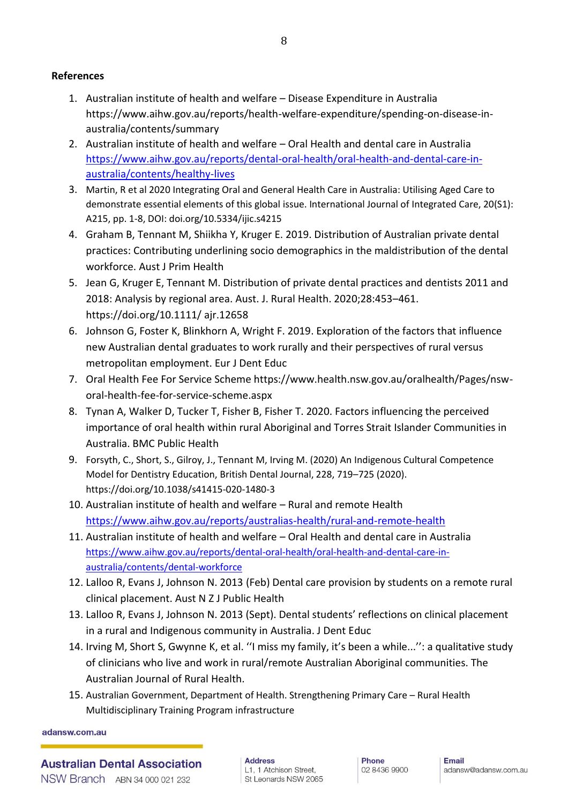#### **References**

- 1. Australian institute of health and welfare Disease Expenditure in Australia https://www.aihw.gov.au/reports/health-welfare-expenditure/spending-on-disease-inaustralia/contents/summary
- 2. Australian institute of health and welfare Oral Health and dental care in Australia [https://www.aihw.gov.au/reports/dental-oral-health/oral-health-and-dental-care-in](https://www.aihw.gov.au/reports/dental-oral-health/oral-health-and-dental-care-in-australia/contents/healthy-lives)[australia/contents/healthy-lives](https://www.aihw.gov.au/reports/dental-oral-health/oral-health-and-dental-care-in-australia/contents/healthy-lives)
- 3. Martin, R et al 2020 Integrating Oral and General Health Care in Australia: Utilising Aged Care to demonstrate essential elements of this global issue. International Journal of Integrated Care, 20(S1): A215, pp. 1-8, DOI: doi.org/10.5334/ijic.s4215
- 4. Graham B, Tennant M, Shiikha Y, Kruger E. 2019. Distribution of Australian private dental practices: Contributing underlining socio demographics in the maldistribution of the dental workforce. Aust J Prim Health
- 5. Jean G, Kruger E, Tennant M. Distribution of private dental practices and dentists 2011 and 2018: Analysis by regional area. Aust. J. Rural Health. 2020;28:453–461. https://doi.org/10.1111/ ajr.12658
- 6. Johnson G, Foster K, Blinkhorn A, Wright F. 2019. Exploration of the factors that influence new Australian dental graduates to work rurally and their perspectives of rural versus metropolitan employment. Eur J Dent Educ
- 7. Oral Health Fee For Service Scheme https://www.health.nsw.gov.au/oralhealth/Pages/nsworal-health-fee-for-service-scheme.aspx
- 8. Tynan A, Walker D, Tucker T, Fisher B, Fisher T. 2020. Factors influencing the perceived importance of oral health within rural Aboriginal and Torres Strait Islander Communities in Australia. BMC Public Health
- 9. Forsyth, C., Short, S., Gilroy, J., Tennant M, Irving M. (2020) An Indigenous Cultural Competence Model for Dentistry Education, British Dental Journal, 228, 719–725 (2020). https://doi.org/10.1038/s41415-020-1480-3
- 10. Australian institute of health and welfare Rural and remote Health <https://www.aihw.gov.au/reports/australias-health/rural-and-remote-health>
- 11. Australian institute of health and welfare Oral Health and dental care in Australia [https://www.aihw.gov.au/reports/dental-oral-health/oral-health-and-dental-care-in](https://www.aihw.gov.au/reports/dental-oral-health/oral-health-and-dental-care-in-australia/contents/dental-workforce)[australia/contents/dental-workforce](https://www.aihw.gov.au/reports/dental-oral-health/oral-health-and-dental-care-in-australia/contents/dental-workforce)
- 12. Lalloo R, Evans J, Johnson N. 2013 (Feb) Dental care provision by students on a remote rural clinical placement. Aust N Z J Public Health
- 13. Lalloo R, Evans J, Johnson N. 2013 (Sept). Dental students' reflections on clinical placement in a rural and Indigenous community in Australia. J Dent Educ
- 14. Irving M, Short S, Gwynne K, et al. ''I miss my family, it's been a while...'': a qualitative study of clinicians who live and work in rural/remote Australian Aboriginal communities. The Australian Journal of Rural Health.
- 15. Australian Government, Department of Health. Strengthening Primary Care Rural Health Multidisciplinary Training Program infrastructure